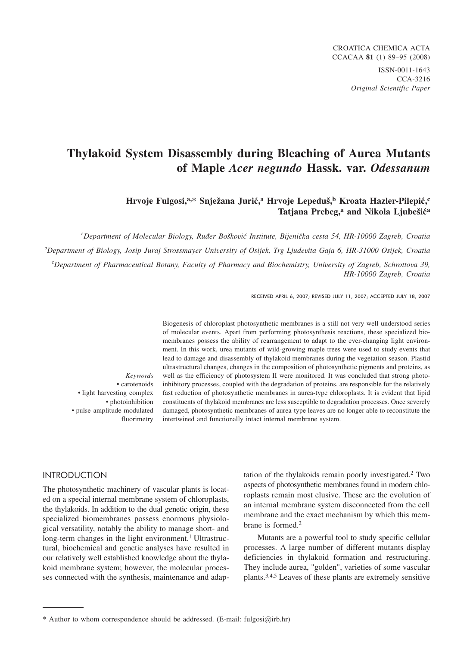# **Thylakoid System Disassembly during Bleaching of Aurea Mutants of Maple** *Acer negundo* **Hassk. var.** *Odessanum*

## Hrvoje Fulgosi,<sup>a,\*</sup> Snježana Jurić,<sup>a</sup> Hrvoje Lepeduš,<sup>b</sup> Kroata Hazler-Pilepić,<sup>c</sup> Tatjana Prebeg,<sup>a</sup> and Nikola Ljubešić<sup>a</sup>

<sup>a</sup>Department of Molecular Biology, Ruđer Bošković Institute, Bijenička cesta 54, HR-10000 Zagreb, Croatia b *Department of Biology, Josip Juraj Strossmayer University of Osijek, Trg Ljudevita Gaja 6, HR-31000 Osijek, Croatia* c *Department of Pharmaceutical Botany, Faculty of Pharmacy and Biochemistry, University of Zagreb, Schrottova 39, HR-10000 Zagreb, Croatia*

RECEIVED APRIL 6, 2007; REVISED JULY 11, 2007; ACCEPTED JULY 18, 2007

*Keywords* • carotenoids • light harvesting complex • photoinhibition • pulse amplitude modulated fluorimetry Biogenesis of chloroplast photosynthetic membranes is a still not very well understood series of molecular events. Apart from performing photosynthesis reactions, these specialized biomembranes possess the ability of rearrangement to adapt to the ever-changing light environment. In this work, urea mutants of wild-growing maple trees were used to study events that lead to damage and disassembly of thylakoid membranes during the vegetation season. Plastid ultrastructural changes, changes in the composition of photosynthetic pigments and proteins, as well as the efficiency of photosystem II were monitored. It was concluded that strong photoinhibitory processes, coupled with the degradation of proteins, are responsible for the relatively fast reduction of photosynthetic membranes in aurea-type chloroplasts. It is evident that lipid constituents of thylakoid membranes are less susceptible to degradation processes. Once severely damaged, photosynthetic membranes of aurea-type leaves are no longer able to reconstitute the intertwined and functionally intact internal membrane system.

# International Contract of

The photosynthetic machinery of vascular plants is located on a special internal membrane system of chloroplasts, the thylakoids. In addition to the dual genetic origin, these specialized biomembranes possess enormous physiological versatility, notably the ability to manage short- and long-term changes in the light environment.<sup>1</sup> Ultrastructural, biochemical and genetic analyses have resulted in our relatively well established knowledge about the thylakoid membrane system; however, the molecular processes connected with the synthesis, maintenance and adap-

tation of the thylakoids remain poorly investigated.2 Two aspects of photosynthetic membranes found in modern chloroplasts remain most elusive. These are the evolution of an internal membrane system disconnected from the cell membrane and the exact mechanism by which this membrane is formed.2

Mutants are a powerful tool to study specific cellular processes. A large number of different mutants display deficiencies in thylakoid formation and restructuring. They include aurea, "golden", varieties of some vascular plants.3,4,5 Leaves of these plants are extremely sensitive

<sup>\*</sup> Author to whom correspondence should be addressed. (E-mail: fulgosi*@*irb.hr)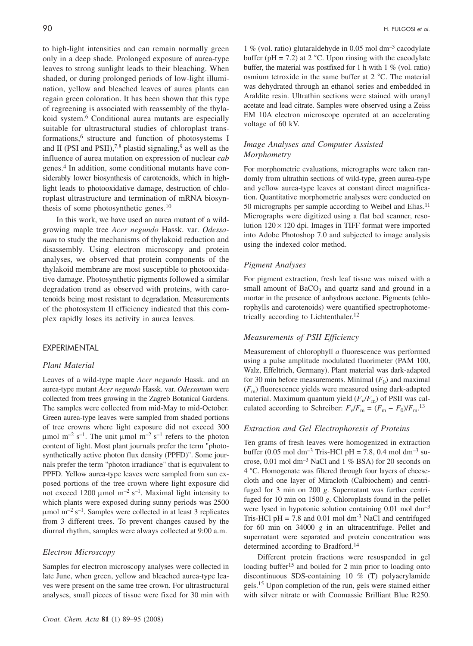to high-light intensities and can remain normally green only in a deep shade. Prolonged exposure of aurea-type leaves to strong sunlight leads to their bleaching. When shaded, or during prolonged periods of low-light illumination, yellow and bleached leaves of aurea plants can regain green coloration. It has been shown that this type of regreening is associated with reassembly of the thylakoid system.<sup>6</sup> Conditional aurea mutants are especially suitable for ultrastructural studies of chloroplast transformations,6 structure and function of photosystems I and II (PSI and PSII),<sup>7,8</sup> plastid signaling,<sup>9</sup> as well as the influence of aurea mutation on expression of nuclear *cab* genes.4 In addition, some conditional mutants have considerably lower biosynthesis of carotenoids, which in highlight leads to photooxidative damage, destruction of chloroplast ultrastructure and termination of mRNA biosynthesis of some photosynthetic genes.10

In this work, we have used an aurea mutant of a wildgrowing maple tree *Acer negundo* Hassk. var. *Odessanum* to study the mechanisms of thylakoid reduction and disassembly. Using electron microscopy and protein analyses, we observed that protein components of the thylakoid membrane are most susceptible to photooxidative damage. Photosynthetic pigments followed a similar degradation trend as observed with proteins, with carotenoids being most resistant to degradation. Measurements of the photosystem II efficiency indicated that this complex rapidly loses its activity in aurea leaves.

#### *Plant Material*

Leaves of a wild-type maple *Acer negundo* Hassk. and an aurea-type mutant *Acer negundo* Hassk. var. *Odessanum* were collected from trees growing in the Zagreb Botanical Gardens. The samples were collected from mid-May to mid-October. Green aurea-type leaves were sampled from shaded portions of tree crowns where light exposure did not exceed 300  $\mu$ mol m<sup>-2</sup> s<sup>-1</sup>. The unit  $\mu$ mol m<sup>-2</sup> s<sup>-1</sup> refers to the photon content of light. Most plant journals prefer the term "photosynthetically active photon flux density (PPFD)". Some journals prefer the term "photon irradiance" that is equivalent to PPFD. Yellow aurea-type leaves were sampled from sun exposed portions of the tree crown where light exposure did not exceed 1200 umol  $m^{-2}$  s<sup>-1</sup>. Maximal light intensity to which plants were exposed during sunny periods was 2500  $\mu$ mol m<sup>-2</sup> s<sup>-1</sup>. Samples were collected in at least 3 replicates from 3 different trees. To prevent changes caused by the diurnal rhythm, samples were always collected at 9:00 a.m.

#### *Electron Microscopy*

Samples for electron microscopy analyses were collected in late June, when green, yellow and bleached aurea-type leaves were present on the same tree crown. For ultrastructural analyses, small pieces of tissue were fixed for 30 min with

1 % (vol. ratio) glutaraldehyde in 0.05 mol dm<sup>-3</sup> cacodylate buffer ( $pH = 7.2$ ) at 2 °C. Upon rinsing with the cacodylate buffer, the material was postfixed for 1 h with 1 % (vol. ratio) osmium tetroxide in the same buffer at 2 °C. The material was dehydrated through an ethanol series and embedded in Araldite resin. Ultrathin sections were stained with uranyl acetate and lead citrate. Samples were observed using a Zeiss EM 10A electron microscope operated at an accelerating voltage of 60 kV.

#### *Image Analyses and Computer Assisted Morphometry*

For morphometric evaluations, micrographs were taken randomly from ultrathin sections of wild-type, green aurea-type and yellow aurea-type leaves at constant direct magnification. Quantitative morphometric analyses were conducted on 50 micrographs per sample according to Weibel and Elias.<sup>11</sup> Micrographs were digitized using a flat bed scanner, resolution  $120 \times 120$  dpi. Images in TIFF format were imported into Adobe Photoshop 7.0 and subjected to image analysis using the indexed color method.

#### *Pigment Analyses*

For pigment extraction, fresh leaf tissue was mixed with a small amount of  $BaCO<sub>3</sub>$  and quartz sand and ground in a mortar in the presence of anhydrous acetone. Pigments (chlorophylls and carotenoids) were quantified spectrophotometrically according to Lichtenthaler.<sup>12</sup>

#### *Measurements of PSII Efficiency*

Measurement of chlorophyll *a* fluorescence was performed using a pulse amplitude modulated fluorimeter (PAM 100, Walz, Effeltrich, Germany). Plant material was dark-adapted for 30 min before measurements. Minimal  $(F_0)$  and maximal  $(F<sub>m</sub>)$  fluorescence yields were measured using dark-adapted material. Maximum quantum yield  $(F_v/F_m)$  of PSII was calculated according to Schreiber:  $F_v/F_m = (F_m - F_0)/F_m$ <sup>13</sup>

#### *Extraction and Gel Electrophoresis of Proteins*

Ten grams of fresh leaves were homogenized in extraction buffer (0.05 mol dm<sup>-3</sup> Tris-HCl pH = 7.8, 0.4 mol dm<sup>-3</sup> sucrose, 0.01 mol dm–3 NaCl and 1 % BSA) for 20 seconds on 4 °C. Homogenate was filtered through four layers of cheesecloth and one layer of Miracloth (Calbiochem) and centrifuged for 3 min on 200 *g*. Supernatant was further centrifuged for 10 min on 1500 *g*. Chloroplasts found in the pellet were lysed in hypotonic solution containing 0.01 mol dm<sup>-3</sup> Tris-HCl pH = 7.8 and 0.01 mol dm<sup>-3</sup> NaCl and centrifuged for 60 min on 34000 *g* in an ultracentrifuge. Pellet and supernatant were separated and protein concentration was determined according to Bradford.<sup>14</sup>

Different protein fractions were resuspended in gel loading buffer<sup>15</sup> and boiled for 2 min prior to loading onto discontinuous SDS-containing 10 % (T) polyacrylamide gels.<sup>15</sup> Upon completion of the run, gels were stained either with silver nitrate or with Coomassie Brilliant Blue R250.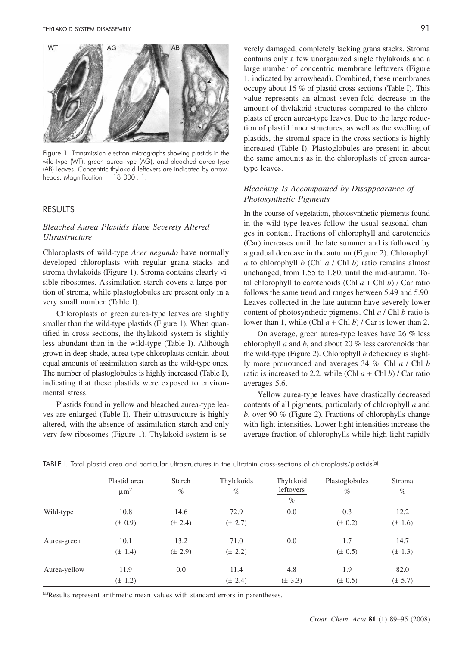

Figure 1. Transmission electron micrographs showing plastids in the wild-type (WT), green aurea-type (AG), and bleached aurea-type (AB) leaves. Concentric thylakoid leftovers are indicated by arrowheads. Magnification = 18 000 : 1.

#### **RESULTS** RESULTS

#### *Bleached Aurea Plastids Have Severely Altered Ultrastructure*

Chloroplasts of wild-type *Acer negundo* have normally developed chloroplasts with regular grana stacks and stroma thylakoids (Figure 1). Stroma contains clearly visible ribosomes. Assimilation starch covers a large portion of stroma, while plastoglobules are present only in a very small number (Table I).

Chloroplasts of green aurea-type leaves are slightly smaller than the wild-type plastids (Figure 1). When quantified in cross sections, the thylakoid system is slightly less abundant than in the wild-type (Table I). Although grown in deep shade, aurea-type chloroplasts contain about equal amounts of assimilation starch as the wild-type ones. The number of plastoglobules is highly increased (Table I), indicating that these plastids were exposed to environmental stress.

Plastids found in yellow and bleached aurea-type leaves are enlarged (Table I). Their ultrastructure is highly altered, with the absence of assimilation starch and only very few ribosomes (Figure 1). Thylakoid system is se-

verely damaged, completely lacking grana stacks. Stroma contains only a few unorganized single thylakoids and a large number of concentric membrane leftovers (Figure 1, indicated by arrowhead). Combined, these membranes occupy about 16 % of plastid cross sections (Table I). This value represents an almost seven-fold decrease in the amount of thylakoid structures compared to the chloroplasts of green aurea-type leaves. Due to the large reduction of plastid inner structures, as well as the swelling of plastids, the stromal space in the cross sections is highly increased (Table I). Plastoglobules are present in about the same amounts as in the chloroplasts of green aureatype leaves.

#### *Bleaching Is Accompanied by Disappearance of Photosynthetic Pigments*

In the course of vegetation, photosynthetic pigments found in the wild-type leaves follow the usual seasonal changes in content. Fractions of chlorophyll and carotenoids (Car) increases until the late summer and is followed by a gradual decrease in the autumn (Figure 2). Chlorophyll *a* to chlorophyll *b* (Chl *a* / Chl *b*) ratio remains almost unchanged, from 1.55 to 1.80, until the mid-autumn. Total chlorophyll to carotenoids (Chl  $a +$ Chl  $b$ ) / Car ratio follows the same trend and ranges between 5.49 and 5.90. Leaves collected in the late autumn have severely lower content of photosynthetic pigments. Chl *a* / Chl *b* ratio is lower than 1, while (Chl *a* + Chl *b*) / Car is lower than 2.

On average, green aurea-type leaves have 26 % less chlorophyll *a* and *b*, and about 20 % less carotenoids than the wild-type (Figure 2). Chlorophyll *b* deficiency is slightly more pronounced and averages 34 %. Chl *a* / Chl *b* ratio is increased to 2.2, while (Chl  $a$  + Chl  $b$ ) / Car ratio averages 5.6.

Yellow aurea-type leaves have drastically decreased contents of all pigments, particularly of chlorophyll *a* and *b*, over 90 % (Figure 2). Fractions of chlorophylls change with light intensities. Lower light intensities increase the average fraction of chlorophylls while high-light rapidly

|              | Plastid area<br>$\mu$ m <sup>2</sup> | Starch<br>$\%$ | Thylakoids<br>$\%$ | Thylakoid<br>leftovers<br>$\%$ | Plastoglobules<br>$\%$ | Stroma<br>$\%$ |
|--------------|--------------------------------------|----------------|--------------------|--------------------------------|------------------------|----------------|
| Wild-type    | 10.8                                 | 14.6           | 72.9               | 0.0                            | 0.3                    | 12.2           |
|              | $(\pm 0.9)$                          | $(\pm 2.4)$    | $(\pm 2.7)$        |                                | $(\pm 0.2)$            | $(\pm 1.6)$    |
| Aurea-green  | 10.1                                 | 13.2           | 71.0               | 0.0                            | 1.7                    | 14.7           |
|              | $(\pm 1.4)$                          | $(\pm 2.9)$    | $(\pm 2.2)$        |                                | $(\pm 0.5)$            | $(\pm 1.3)$    |
| Aurea-yellow | 11.9                                 | 0.0            | 11.4               | 4.8                            | 1.9                    | 82.0           |
|              | $(\pm 1.2)$                          |                | $(\pm 2.4)$        | $(\pm 3.3)$                    | $(\pm 0.5)$            | $(\pm 5.7)$    |

TABLE I. Total plastid area and particular ultrastructures in the ultrathin cross-sections of chloroplasts/plastids<sup>(a)</sup>

(a)Results represent arithmetic mean values with standard errors in parentheses.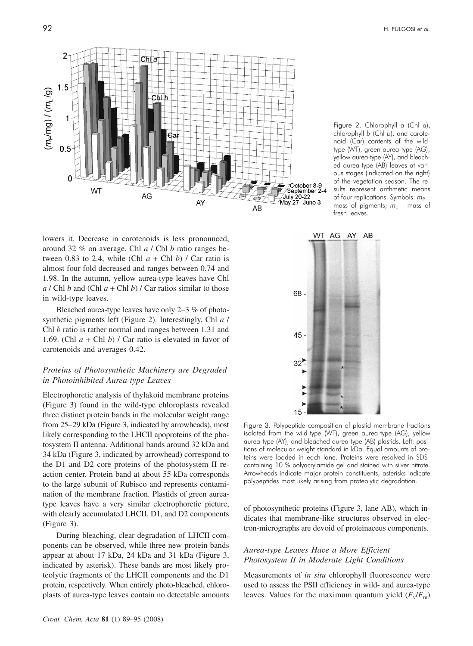

lowers it. Decrease in carotenoids is less pronounced, around 32 % on average. Chl *a* / Chl *b* ratio ranges between 0.83 to 2.4, while (Chl  $a + Chl b$ ) / Car ratio is almost four fold decreased and ranges between 0.74 and 1.98. In the autumn, yellow aurea-type leaves have Chl  $a$  / Chl  $b$  and (Chl  $a$  + Chl  $b$ ) / Car ratios similar to those in wild-type leaves.

Bleached aurea-type leaves have only 2-3 % of photosynthetic pigments left (Figure 2). Interestingly, Chl *a* / Chl *b* ratio is rather normal and ranges between 1.31 and 1.69. (Chl *a* + Chl *b*) / Car ratio is elevated in favor of carotenoids and averages 0.42.

#### *Proteins of Photosynthetic Machinery are Degraded in Photoinhibited Aurea-type Leaves*

Electrophoretic analysis of thylakoid membrane proteins (Figure 3) found in the wild-type chloroplasts revealed three distinct protein bands in the molecular weight range from 25-29 kDa (Figure 3, indicated by arrowheads), most likely corresponding to the LHCII apoproteins of the photosystem II antenna. Additional bands around 32 kDa and 34 kDa (Figure 3, indicated by arrowhead) correspond to the D1 and D2 core proteins of the photosystem II reaction center. Protein band at about 55 kDa corresponds to the large subunit of Rubisco and represents contamination of the membrane fraction. Plastids of green aureatype leaves have a very similar electrophoretic picture, with clearly accumulated LHCII, D1, and D2 components (Figure 3).

During bleaching, clear degradation of LHCII components can be observed, while three new protein bands appear at about 17 kDa, 24 kDa and 31 kDa (Figure 3, indicated by asterisk). These bands are most likely proteolytic fragments of the LHCII components and the D1 protein, respectively. When entirely photo-bleached, chloroplasts of aurea-type leaves contain no detectable amounts

Figure 2. Chlorophyll *<sup>a</sup>* (Chl *<sup>a</sup>*), chlorophyll *b* (Chl *b*), and carotenoid (Car) contents of the wildtype (WT), green aurea-type (AG), yellow aurea-type (AY), and bleached aurea-type (AB) leaves at various stages (indicated on the right) of the vegetation season. The results represent arithmetic means of four replications. Symbols:  $m_P$  – mass of pigments;  $m<sub>L</sub>$  – mass of fresh leaves.



Figure 3. Polypeptide composition of plastid membrane fractions isolated from the wild-type (WT), green aurea-type (AG), yellow aurea-type (AY), and bleached aurea-type (AB) plastids. Left: positions of molecular weight standard in kDa. Equal amounts of proteins were loaded in each lane. Proteins were resolved in SDScontaining 10 % polyacrylamide gel and stained with silver nitrate. Arrowheads indicate major protein constituents, asterisks indicate polypeptides most likely arising from proteolytic degradation.

of photosynthetic proteins (Figure 3, lane AB), which indicates that membrane-like structures observed in electron-micrographs are devoid of proteinaceus components.

#### *Aurea-type Leaves Have a More Efficient Photosystem II in Moderate Light Conditions*

Measurements of *in situ* chlorophyll fluorescence were used to assess the PSII efficiency in wild- and aurea-type leaves. Values for the maximum quantum yield  $(F_v/F_m)$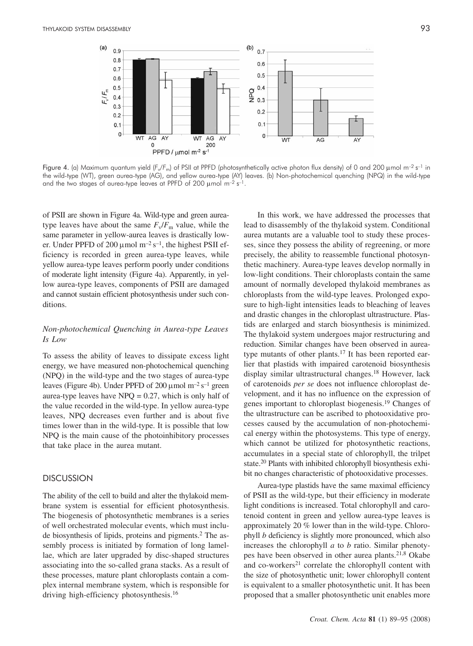

Figure 4. (a) Maximum quantum yield ( $F_v/F_m$ ) of PSII at PPFD (photosynthetically active photon flux density) of 0 and 200  $\mu$ mol m<sup>-2</sup> s<sup>-1</sup> in the wild-type (WT), green aurea-type (AG), and yellow aurea-type (AY) leaves. (b) Non-photochemical quenching (NPQ) in the wild-type and the two stages of aurea-type leaves at PPFD of 200  $\mu$ mol m<sup>-2</sup> s<sup>-1</sup>.

of PSII are shown in Figure 4a. Wild-type and green aureatype leaves have about the same  $F_v/F_m$  value, while the same parameter in yellow-aurea leaves is drastically lower. Under PPFD of 200  $\mu$ mol m<sup>-2</sup> s<sup>-1</sup>, the highest PSII efficiency is recorded in green aurea-type leaves, while yellow aurea-type leaves perform poorly under conditions of moderate light intensity (Figure 4a). Apparently, in yellow aurea-type leaves, components of PSII are damaged and cannot sustain efficient photosynthesis under such conditions.

#### *Non-photochemical Quenching in Aurea-type Leaves Is Low*

To assess the ability of leaves to dissipate excess light energy, we have measured non-photochemical quenching (NPQ) in the wild-type and the two stages of aurea-type leaves (Figure 4b). Under PPFD of 200  $\mu$ mol m<sup>-2</sup> s<sup>-1</sup> green aurea-type leaves have  $NPO = 0.27$ , which is only half of the value recorded in the wild-type. In yellow aurea-type leaves, NPQ decreases even further and is about five times lower than in the wild-type. It is possible that low NPQ is the main cause of the photoinhibitory processes that take place in the aurea mutant.

# DISCUSSION

The ability of the cell to build and alter the thylakoid membrane system is essential for efficient photosynthesis. The biogenesis of photosynthetic membranes is a series of well orchestrated molecular events, which must include biosynthesis of lipids, proteins and pigments.2 The assembly process is initiated by formation of long lamellae, which are later upgraded by disc-shaped structures associating into the so-called grana stacks. As a result of these processes, mature plant chloroplasts contain a complex internal membrane system, which is responsible for driving high-efficiency photosynthesis.<sup>16</sup>

In this work, we have addressed the processes that lead to disassembly of the thylakoid system. Conditional aurea mutants are a valuable tool to study these processes, since they possess the ability of regreening, or more precisely, the ability to reassemble functional photosynthetic machinery. Aurea-type leaves develop normally in low-light conditions. Their chloroplasts contain the same amount of normally developed thylakoid membranes as chloroplasts from the wild-type leaves. Prolonged exposure to high-light intensities leads to bleaching of leaves and drastic changes in the chloroplast ultrastructure. Plastids are enlarged and starch biosynthesis is minimized. The thylakoid system undergoes major restructuring and reduction. Similar changes have been observed in aureatype mutants of other plants.<sup>17</sup> It has been reported earlier that plastids with impaired carotenoid biosynthesis display similar ultrastructural changes.18 However, lack of carotenoids *per se* does not influence chloroplast development, and it has no influence on the expression of genes important to chloroplast biogenesis.19 Changes of the ultrastructure can be ascribed to photooxidative processes caused by the accumulation of non-photochemical energy within the photosystems. This type of energy, which cannot be utilized for photosynthetic reactions, accumulates in a special state of chlorophyll, the trilpet state.20 Plants with inhibited chlorophyll biosynthesis exhibit no changes characteristic of photooxidative processes.

Aurea-type plastids have the same maximal efficiency of PSII as the wild-type, but their efficiency in moderate light conditions is increased. Total chlorophyll and carotenoid content in green and yellow aurea-type leaves is approximately 20 % lower than in the wild-type. Chlorophyll *b* deficiency is slightly more pronounced, which also increases the chlorophyll *a* to *b* ratio. Similar phenotypes have been observed in other aurea plants.21,8 Okabe and co-workers<sup>21</sup> correlate the chlorophyll content with the size of photosynthetic unit; lower chlorophyll content is equivalent to a smaller photosynthetic unit. It has been proposed that a smaller photosynthetic unit enables more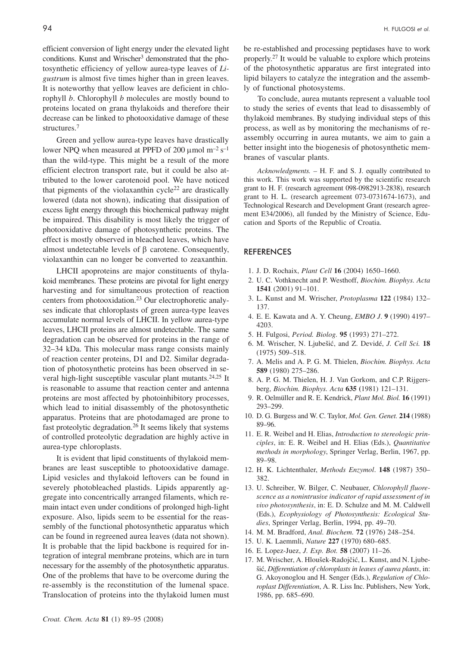efficient conversion of light energy under the elevated light conditions. Kunst and Wrischer<sup>3</sup> demonstrated that the photosynthetic efficiency of yellow aurea-type leaves of *Ligustrum* is almost five times higher than in green leaves. It is noteworthy that yellow leaves are deficient in chlorophyll *b*. Chlorophyll *b* molecules are mostly bound to proteins located on grana thylakoids and therefore their decrease can be linked to photooxidative damage of these structures.7

Green and yellow aurea-type leaves have drastically lower NPQ when measured at PPFD of 200  $\mu$ mol m<sup>-2</sup> s<sup>-1</sup> than the wild-type. This might be a result of the more efficient electron transport rate, but it could be also attributed to the lower carotenoid pool. We have noticed that pigments of the violaxanthin cycle<sup>22</sup> are drastically lowered (data not shown), indicating that dissipation of excess light energy through this biochemical pathway might be impaired. This disability is most likely the trigger of photooxidative damage of photosynthetic proteins. The effect is mostly observed in bleached leaves, which have almost undetectable levels of  $\beta$  carotene. Consequently, violaxanthin can no longer be converted to zeaxanthin.

LHCII apoproteins are major constituents of thylakoid membranes. These proteins are pivotal for light energy harvesting and for simultaneous protection of reaction centers from photooxidation.<sup>23</sup> Our electrophoretic analyses indicate that chloroplasts of green aurea-type leaves accumulate normal levels of LHCII. In yellow aurea-type leaves, LHCII proteins are almost undetectable. The same degradation can be observed for proteins in the range of 32–34 kDa. This molecular mass range consists mainly of reaction center proteins, D1 and D2. Similar degradation of photosynthetic proteins has been observed in several high-light susceptible vascular plant mutants.<sup>24,25</sup> It is reasonable to assume that reaction center and antenna proteins are most affected by photoinhibitory processes, which lead to initial disassembly of the photosynthetic apparatus. Proteins that are photodamaged are prone to fast proteolytic degradation.<sup>26</sup> It seems likely that systems of controlled proteolytic degradation are highly active in aurea-type chloroplasts.

It is evident that lipid constituents of thylakoid membranes are least susceptible to photooxidative damage. Lipid vesicles and thylakoid leftovers can be found in severely photobleached plastids. Lipids apparently aggregate into concentrically arranged filaments, which remain intact even under conditions of prolonged high-light exposure. Also, lipids seem to be essential for the reassembly of the functional photosynthetic apparatus which can be found in regreened aurea leaves (data not shown). It is probable that the lipid backbone is required for integration of integral membrane proteins, which are in turn necessary for the assembly of the photosynthetic apparatus. One of the problems that have to be overcome during the re-assembly is the reconstitution of the lumenal space. Translocation of proteins into the thylakoid lumen must be re-established and processing peptidases have to work properly.27 It would be valuable to explore which proteins of the photosynthetic apparatus are first integrated into lipid bilayers to catalyze the integration and the assembly of functional photosystems.

To conclude, aurea mutants represent a valuable tool to study the series of events that lead to disassembly of thylakoid membranes. By studying individual steps of this process, as well as by monitoring the mechanisms of reassembly occurring in aurea mutants, we aim to gain a better insight into the biogenesis of photosynthetic membranes of vascular plants.

*Acknowledgments. –* H. F. and S. J. equally contributed to this work. This work was supported by the scientific research grant to H. F. (research agreement 098-0982913-2838), research grant to H. L. (research agreement 073-0731674-1673), and Technological Research and Development Grant (research agreement E34/2006), all funded by the Ministry of Science, Education and Sports of the Republic of Croatia.

#### REFERENCES

- 1. J. D. Rochaix, *Plant Cell* **16** (2004) 1650–1660.
- 2. U. C. Vothknecht and P. Westhoff, *Biochim. Biophys. Acta* **1541** (2001) 91–101.
- 3. L. Kunst and M. Wrischer, *Protoplasma* **122** (1984) 132– 137.
- 4. E. E. Kawata and A. Y. Cheung, *EMBO J*. **9** (1990) 4197– 4203.
- 5. H. Fulgosi, *Period. Biolog.* **95** (1993) 271–272.
- 6. M. Wrischer, N. Ljube{i}, and Z. Devidé, *J. Cell Sci.* **18** (1975) 509–518.
- 7. A. Melis and A. P. G. M. Thielen, *Biochim. Biophys. Acta* **589** (1980) 275–286.
- 8. A. P. G. M. Thielen, H. J. Van Gorkom, and C.P. Rijgersberg, *Biochim. Biophys. Acta* **635 (**1981) 121–131.
- 9. R. Oelmüller and R. E. Kendrick, *Plant Mol. Biol.* **16** (1991) 293–299.
- 10. D. G. Burgess and W. C. Taylor, *Mol. Gen. Genet.* **214** (1988) 89–96.
- 11. E. R. Weibel and H. Elias, *Introduction to stereologic principles*, in: E. R. Weibel and H. Elias (Eds.), *Quantitative methods in morphology*, Springer Verlag, Berlin, 1967, pp. 89–98.
- 12. H. K. Lichtenthaler, *Methods Enzymol*. **148** (1987) 350– 382.
- 13. U. Schreiber, W. Bilger, C. Neubauer, *Chlorophyll fluorescence as a nonintrusive indicator of rapid assessment of in vivo photosynthesis*, in: E. D. Schulze and M. M. Caldwell (Eds.), *Ecophysiology of Photosynthesis: Ecological Studies*, Springer Verlag, Berlin, 1994, pp. 49–70.
- 14. M. M. Bradford, *Anal. Biochem.* **72** (1976) 248–254.
- 15. U. K. Laemmli, *Nature* **227** (1970) 680–685.
- 16. E. Lopez-Juez, *J. Exp. Bot.* **58** (2007) 11–26.
- 17. M. Wrischer, A. Hloušek-Radojčić, L. Kunst, and N. Ljube-{i}, *Differentiation of chloroplasts in leaves of aurea plants*, in: G. Akoyonoglou and H. Senger (Eds.), *Regulation of Chloroplast Differentiation*, A. R. Liss Inc. Publishers, New York, 1986, pp. 685–690.